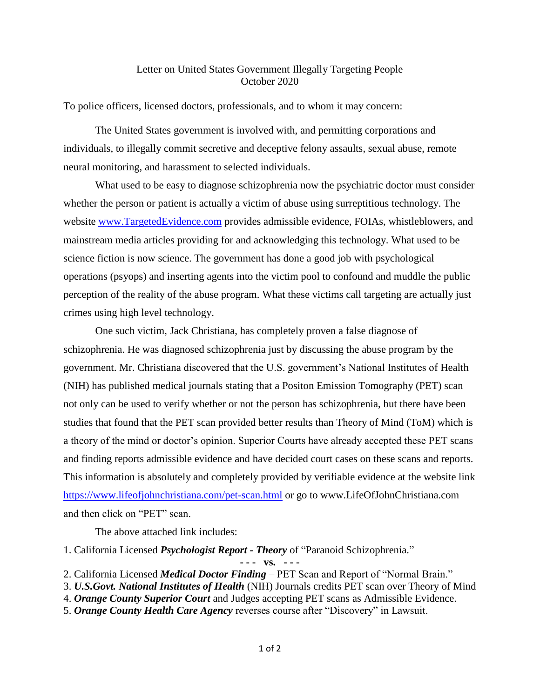## Letter on United States Government Illegally Targeting People October 2020

To police officers, licensed doctors, professionals, and to whom it may concern:

The United States government is involved with, and permitting corporations and individuals, to illegally commit secretive and deceptive felony assaults, sexual abuse, remote neural monitoring, and harassment to selected individuals.

What used to be easy to diagnose schizophrenia now the psychiatric doctor must consider whether the person or patient is actually a victim of abuse using surreptitious technology. The website [www.TargetedEvidence.com](http://www.targetedevidence.com/) provides admissible evidence, FOIAs, whistleblowers, and mainstream media articles providing for and acknowledging this technology. What used to be science fiction is now science. The government has done a good job with psychological operations (psyops) and inserting agents into the victim pool to confound and muddle the public perception of the reality of the abuse program. What these victims call targeting are actually just crimes using high level technology.

One such victim, Jack Christiana, has completely proven a false diagnose of schizophrenia. He was diagnosed schizophrenia just by discussing the abuse program by the government. Mr. Christiana discovered that the U.S. government's National Institutes of Health (NIH) has published medical journals stating that a Positon Emission Tomography (PET) scan not only can be used to verify whether or not the person has schizophrenia, but there have been studies that found that the PET scan provided better results than Theory of Mind (ToM) which is a theory of the mind or doctor's opinion. Superior Courts have already accepted these PET scans and finding reports admissible evidence and have decided court cases on these scans and reports. This information is absolutely and completely provided by verifiable evidence at the website link <https://www.lifeofjohnchristiana.com/pet-scan.html> or go to www.LifeOfJohnChristiana.com and then click on "PET" scan.

The above attached link includes:

1. California Licensed *Psychologist Report - Theory* of "Paranoid Schizophrenia."

**- - - vs. - - -**

- 3. *U.S.Govt. National Institutes of Health* (NIH) Journals credits PET scan over Theory of Mind
- 4. *Orange County Superior Court* and Judges accepting PET scans as Admissible Evidence.
- 5. *Orange County Health Care Agency* reverses course after "Discovery" in Lawsuit.

<sup>2.</sup> California Licensed *Medical Doctor Finding* – PET Scan and Report of "Normal Brain."